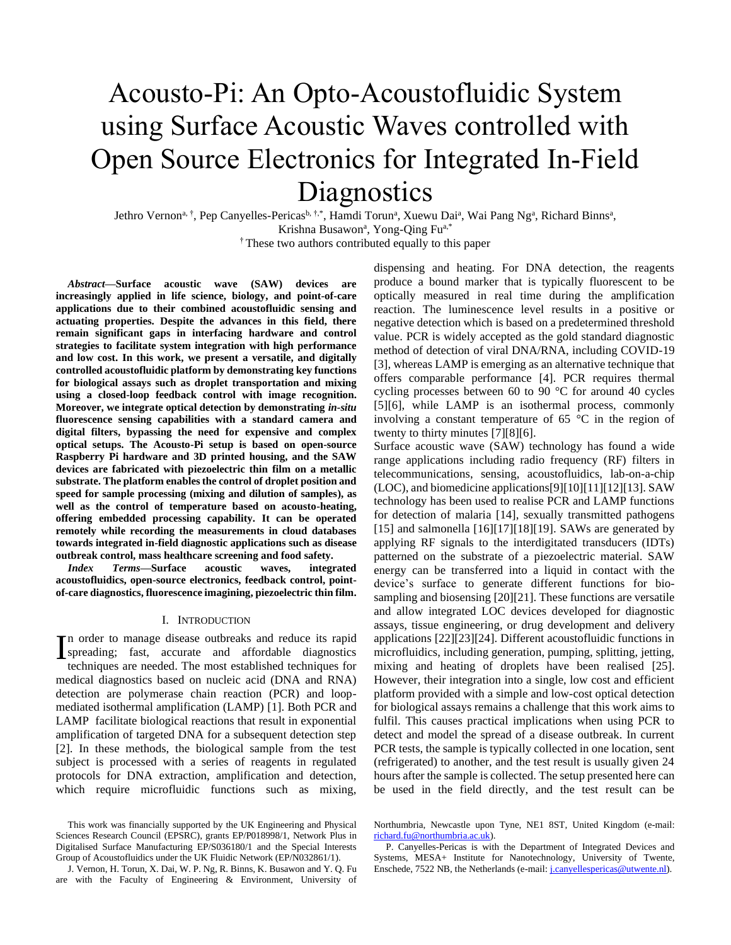# Acousto-Pi: An Opto-Acoustofluidic System using Surface Acoustic Waves controlled with Open Source Electronics for Integrated In-Field **Diagnostics**

Jethro Vernon<sup>a, †</sup>, Pep Canyelles-Pericas<sup>b, †,\*</sup>, Hamdi Torun<sup>a</sup>, Xuewu Dai<sup>a</sup>, Wai Pang Ng<sup>a</sup>, Richard Binns<sup>a</sup>, Krishna Busawon<sup>a</sup>, Yong-Qing Fu<sup>a,\*</sup> † These two authors contributed equally to this paper

*Abstract***—Surface acoustic wave (SAW) devices are increasingly applied in life science, biology, and point-of-care applications due to their combined acoustofluidic sensing and actuating properties. Despite the advances in this field, there remain significant gaps in interfacing hardware and control strategies to facilitate system integration with high performance and low cost. In this work, we present a versatile, and digitally controlled acoustofluidic platform by demonstrating key functions for biological assays such as droplet transportation and mixing using a closed-loop feedback control with image recognition. Moreover, we integrate optical detection by demonstrating** *in-situ* **fluorescence sensing capabilities with a standard camera and digital filters, bypassing the need for expensive and complex optical setups. The Acousto-Pi setup is based on open-source Raspberry Pi hardware and 3D printed housing, and the SAW devices are fabricated with piezoelectric thin film on a metallic substrate. The platform enables the control of droplet position and speed for sample processing (mixing and dilution of samples), as well as the control of temperature based on acousto-heating, offering embedded processing capability. It can be operated remotely while recording the measurements in cloud databases towards integrated in-field diagnostic applications such as disease outbreak control, mass healthcare screening and food safety.**

*Index Terms***—Surface acoustic waves, integrated acoustofluidics, open-source electronics, feedback control, pointof-care diagnostics, fluorescence imagining, piezoelectric thin film.**

#### I. INTRODUCTION

In order to manage disease outbreaks and reduce its rapid<br>spreading; fast, accurate and affordable diagnostics<br>toppiques are needed. The most established toppiques for spreading; fast, accurate and affordable diagnostics techniques are needed. The most established techniques for medical diagnostics based on nucleic acid (DNA and RNA) detection are polymerase chain reaction (PCR) and loopmediated isothermal amplification (LAMP) [1]. Both PCR and LAMP facilitate biological reactions that result in exponential amplification of targeted DNA for a subsequent detection step [2]. In these methods, the biological sample from the test subject is processed with a series of reagents in regulated protocols for DNA extraction, amplification and detection, which require microfluidic functions such as mixing,

dispensing and heating. For DNA detection, the reagents produce a bound marker that is typically fluorescent to be optically measured in real time during the amplification reaction. The luminescence level results in a positive or negative detection which is based on a predetermined threshold value. PCR is widely accepted as the gold standard diagnostic method of detection of viral DNA/RNA, including COVID-19 [3], whereas LAMP is emerging as an alternative technique that offers comparable performance [4]. PCR requires thermal cycling processes between 60 to 90 °C for around 40 cycles [5][6], while LAMP is an isothermal process, commonly involving a constant temperature of 65 °C in the region of twenty to thirty minutes [7][8][6].

Surface acoustic wave (SAW) technology has found a wide range applications including radio frequency (RF) filters in telecommunications, sensing, acoustofluidics, lab-on-a-chip (LOC), and biomedicine applications[9][10][11][12][13]. SAW technology has been used to realise PCR and LAMP functions for detection of malaria [14], sexually transmitted pathogens [15] and salmonella [16][17][18][19]. SAWs are generated by applying RF signals to the interdigitated transducers (IDTs) patterned on the substrate of a piezoelectric material. SAW energy can be transferred into a liquid in contact with the device's surface to generate different functions for biosampling and biosensing [20][21]. These functions are versatile and allow integrated LOC devices developed for diagnostic assays, tissue engineering, or drug development and delivery applications [22][23][24]. Different acoustofluidic functions in microfluidics, including generation, pumping, splitting, jetting, mixing and heating of droplets have been realised [25]. However, their integration into a single, low cost and efficient platform provided with a simple and low-cost optical detection for biological assays remains a challenge that this work aims to fulfil. This causes practical implications when using PCR to detect and model the spread of a disease outbreak. In current PCR tests, the sample is typically collected in one location, sent (refrigerated) to another, and the test result is usually given 24 hours after the sample is collected. The setup presented here can be used in the field directly, and the test result can be

This work was financially supported by the UK Engineering and Physical Sciences Research Council (EPSRC), grants EP/P018998/1, Network Plus in Digitalised Surface Manufacturing EP/S036180/1 and the Special Interests Group of Acoustofluidics under the UK Fluidic Network (EP/N032861/1).

J. Vernon, H. Torun, X. Dai, W. P. Ng, R. Binns, K. Busawon and Y. Q. Fu are with the Faculty of Engineering & Environment, University of

Northumbria, Newcastle upon Tyne, NE1 8ST, United Kingdom (e-mail: [richard.fu@northumbria.ac.uk\)](mailto:richard.fu@northumbria.ac.uk).

P. Canyelles-Pericas is with the Department of Integrated Devices and Systems, MESA+ Institute for Nanotechnology, University of Twente, Enschede, 7522 NB, the Netherlands (e-mail: *j.canyellespericas@utwente.nl*).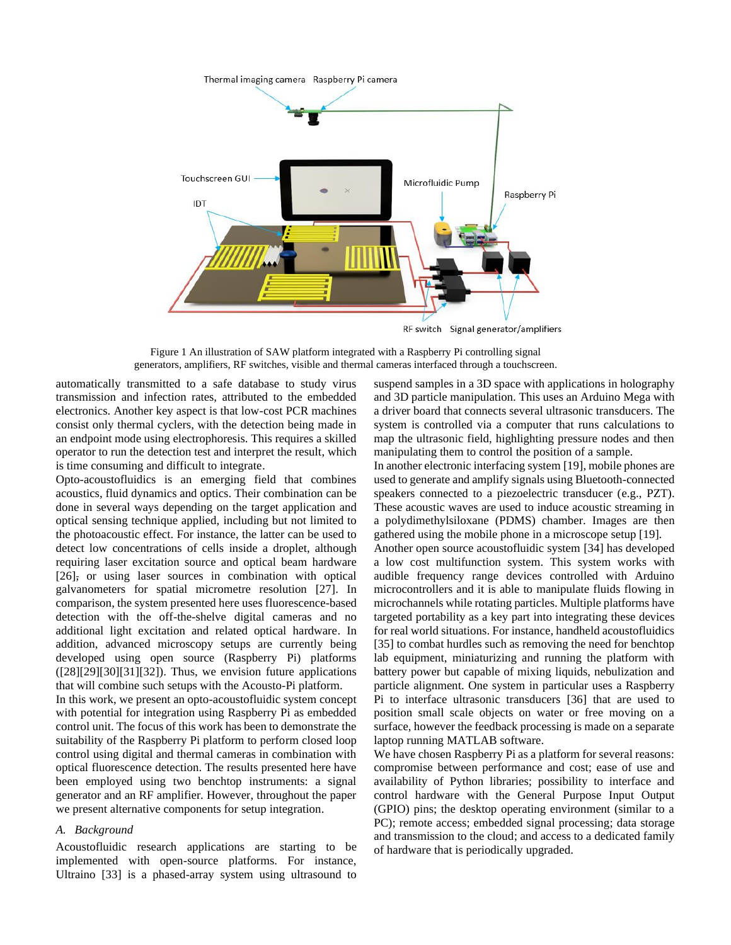

RF switch Signal generator/amplifiers

<span id="page-1-0"></span>Figure 1 An illustration of SAW platform integrated with a Raspberry Pi controlling signal generators, amplifiers, RF switches, visible and thermal cameras interfaced through a touchscreen.

automatically transmitted to a safe database to study virus transmission and infection rates, attributed to the embedded electronics. Another key aspect is that low-cost PCR machines consist only thermal cyclers, with the detection being made in an endpoint mode using electrophoresis. This requires a skilled operator to run the detection test and interpret the result, which is time consuming and difficult to integrate.

Opto-acoustofluidics is an emerging field that combines acoustics, fluid dynamics and optics. Their combination can be done in several ways depending on the target application and optical sensing technique applied, including but not limited to the photoacoustic effect. For instance, the latter can be used to detect low concentrations of cells inside a droplet, although requiring laser excitation source and optical beam hardware [26], or using laser sources in combination with optical galvanometers for spatial micrometre resolution [27]. In comparison, the system presented here uses fluorescence-based detection with the off-the-shelve digital cameras and no additional light excitation and related optical hardware. In addition, advanced microscopy setups are currently being developed using open source (Raspberry Pi) platforms  $([28][29][30][31][32])$ . Thus, we envision future applications that will combine such setups with the Acousto-Pi platform.

In this work, we present an opto-acoustofluidic system concept with potential for integration using Raspberry Pi as embedded control unit. The focus of this work has been to demonstrate the suitability of the Raspberry Pi platform to perform closed loop control using digital and thermal cameras in combination with optical fluorescence detection. The results presented here have been employed using two benchtop instruments: a signal generator and an RF amplifier. However, throughout the paper we present alternative components for setup integration.

## *A. Background*

Acoustofluidic research applications are starting to be implemented with open-source platforms. For instance, Ultraino [33] is a phased-array system using ultrasound to

suspend samples in a 3D space with applications in holography and 3D particle manipulation. This uses an Arduino Mega with a driver board that connects several ultrasonic transducers. The system is controlled via a computer that runs calculations to map the ultrasonic field, highlighting pressure nodes and then manipulating them to control the position of a sample.

In another electronic interfacing system [19], mobile phones are used to generate and amplify signals using Bluetooth-connected speakers connected to a piezoelectric transducer (e.g., PZT). These acoustic waves are used to induce acoustic streaming in a polydimethylsiloxane (PDMS) chamber. Images are then gathered using the mobile phone in a microscope setup [19].

Another open source acoustofluidic system [34] has developed a low cost multifunction system. This system works with audible frequency range devices controlled with Arduino microcontrollers and it is able to manipulate fluids flowing in microchannels while rotating particles. Multiple platforms have targeted portability as a key part into integrating these devices for real world situations. For instance, handheld acoustofluidics [35] to combat hurdles such as removing the need for benchtop lab equipment, miniaturizing and running the platform with battery power but capable of mixing liquids, nebulization and particle alignment. One system in particular uses a Raspberry Pi to interface ultrasonic transducers [36] that are used to position small scale objects on water or free moving on a surface, however the feedback processing is made on a separate laptop running MATLAB software.

We have chosen Raspberry Pi as a platform for several reasons: compromise between performance and cost; ease of use and availability of Python libraries; possibility to interface and control hardware with the General Purpose Input Output (GPIO) pins; the desktop operating environment (similar to a PC); remote access; embedded signal processing; data storage and transmission to the cloud; and access to a dedicated family of hardware that is periodically upgraded.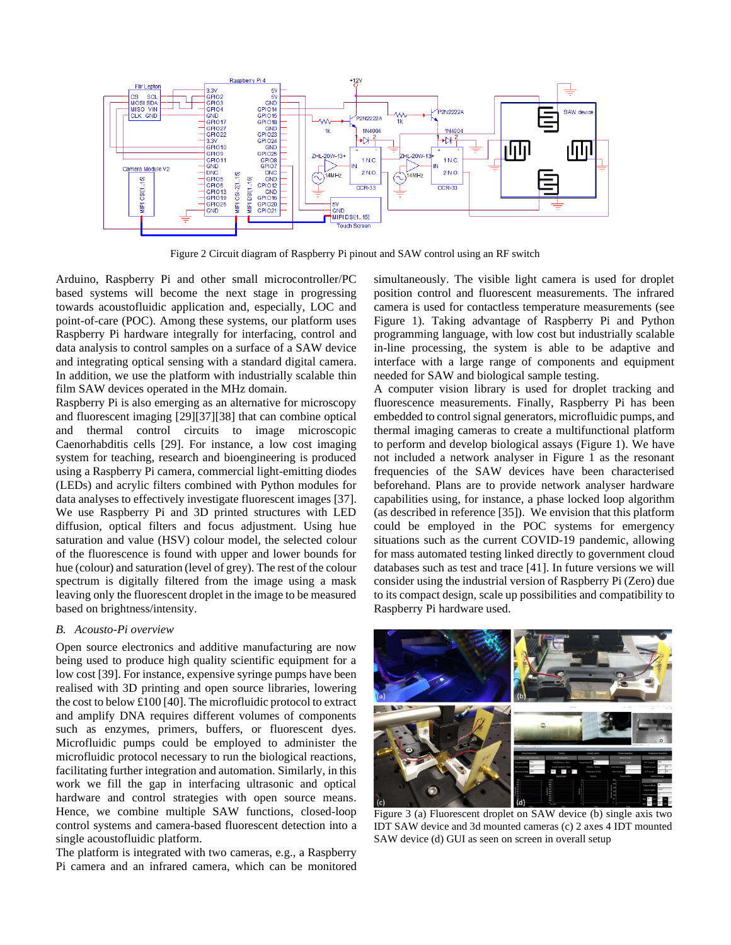

Figure 2 Circuit diagram of Raspberry Pi pinout and SAW control using an RF switch

<span id="page-2-1"></span>Arduino, Raspberry Pi and other small microcontroller/PC based systems will become the next stage in progressing towards acoustofluidic application and, especially, LOC and point-of-care (POC). Among these systems, our platform uses Raspberry Pi hardware integrally for interfacing, control and data analysis to control samples on a surface of a SAW device and integrating optical sensing with a standard digital camera. In addition, we use the platform with industrially scalable thin film SAW devices operated in the MHz domain.

Raspberry Pi is also emerging as an alternative for microscopy and fluorescent imaging [29][37][38] that can combine optical and thermal control circuits to image microscopic Caenorhabditis cells [29]. For instance, a low cost imaging system for teaching, research and bioengineering is produced using a Raspberry Pi camera, commercial light-emitting diodes (LEDs) and acrylic filters combined with Python modules for data analyses to effectively investigate fluorescent images [37]. We use Raspberry Pi and 3D printed structures with LED diffusion, optical filters and focus adjustment. Using hue saturation and value (HSV) colour model, the selected colour of the fluorescence is found with upper and lower bounds for hue (colour) and saturation (level of grey). The rest of the colour spectrum is digitally filtered from the image using a mask leaving only the fluorescent droplet in the image to be measured based on brightness/intensity.

# *B. Acousto-Pi overview*

Open source electronics and additive manufacturing are now being used to produce high quality scientific equipment for a low cost [39]. For instance, expensive syringe pumps have been realised with 3D printing and open source libraries, lowering the cost to below £100 [40]. The microfluidic protocol to extract and amplify DNA requires different volumes of components such as enzymes, primers, buffers, or fluorescent dyes. Microfluidic pumps could be employed to administer the microfluidic protocol necessary to run the biological reactions, facilitating further integration and automation. Similarly, in this work we fill the gap in interfacing ultrasonic and optical hardware and control strategies with open source means. Hence, we combine multiple SAW functions, closed-loop control systems and camera-based fluorescent detection into a single acoustofluidic platform.

The platform is integrated with two cameras, e.g., a Raspberry Pi camera and an infrared camera, which can be monitored simultaneously. The visible light camera is used for droplet position control and fluorescent measurements. The infrared camera is used for contactless temperature measurements (see Figure 1). Taking advantage of Raspberry Pi and Python programming language, with low cost but industrially scalable in-line processing, the system is able to be adaptive and interface with a large range of components and equipment needed for SAW and biological sample testing.

A computer vision library is used for droplet tracking and fluorescence measurements. Finally, Raspberry Pi has been embedded to control signal generators, microfluidic pumps, and thermal imaging cameras to create a multifunctional platform to perform and develop biological assays (Figure 1). We have not included a network analyser in Figure 1 as the resonant frequencies of the SAW devices have been characterised beforehand. Plans are to provide network analyser hardware capabilities using, for instance, a phase locked loop algorithm (as described in reference [35]). We envision that this platform could be employed in the POC systems for emergency situations such as the current COVID-19 pandemic, allowing for mass automated testing linked directly to government cloud databases such as test and trace [41]. In future versions we will consider using the industrial version of Raspberry Pi (Zero) due to its compact design, scale up possibilities and compatibility to Raspberry Pi hardware used.



<span id="page-2-0"></span>Figure 3 (a) Fluorescent droplet on SAW device (b) single axis two IDT SAW device and 3d mounted cameras (c) 2 axes 4 IDT mounted SAW device (d) GUI as seen on screen in overall setup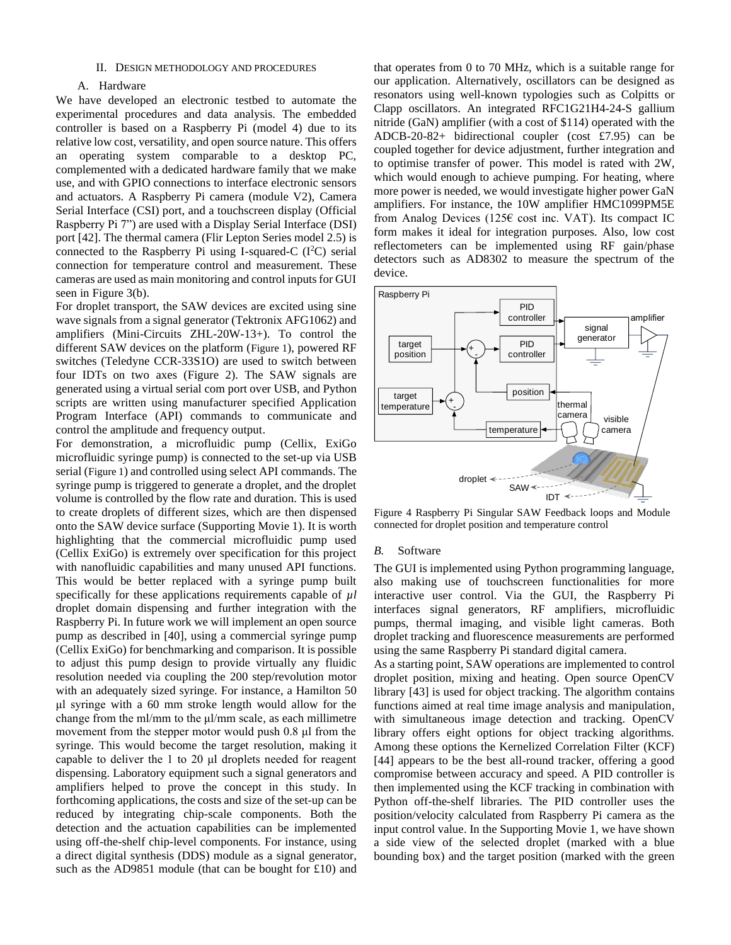#### II. DESIGN METHODOLOGY AND PROCEDURES

# A. Hardware

We have developed an electronic testbed to automate the experimental procedures and data analysis. The embedded controller is based on a Raspberry Pi (model 4) due to its relative low cost, versatility, and open source nature. This offers an operating system comparable to a desktop PC, complemented with a dedicated hardware family that we make use, and with GPIO connections to interface electronic sensors and actuators. A Raspberry Pi camera (module V2), Camera Serial Interface (CSI) port, and a touchscreen display (Official Raspberry Pi 7") are used with a Display Serial Interface (DSI) port [42]. The thermal camera (Flir Lepton Series model 2.5) is connected to the Raspberry Pi using I-squared-C  $(I<sup>2</sup>C)$  serial connection for temperature control and measurement. These cameras are used as main monitoring and control inputs for GUI seen in [Figure 3\(](#page-2-0)b).

For droplet transport, the SAW devices are excited using sine wave signals from a signal generator (Tektronix AFG1062) and amplifiers (Mini-Circuits ZHL-20W-13+). To control the different SAW devices on the platform ([Figure 1](#page-1-0)), powered RF switches (Teledyne CCR-33S1O) are used to switch between four IDTs on two axes [\(Figure 2\)](#page-2-1). The SAW signals are generated using a virtual serial com port over USB, and Python scripts are written using manufacturer specified Application Program Interface (API) commands to communicate and control the amplitude and frequency output.

For demonstration, a microfluidic pump (Cellix, ExiGo microfluidic syringe pump) is connected to the set-up via USB serial ([Figure 1](#page-1-0)) and controlled using select API commands. The syringe pump is triggered to generate a droplet, and the droplet volume is controlled by the flow rate and duration. This is used to create droplets of different sizes, which are then dispensed onto the SAW device surface (Supporting Movie 1). It is worth highlighting that the commercial microfluidic pump used (Cellix ExiGo) is extremely over specification for this project with nanofluidic capabilities and many unused API functions. This would be better replaced with a syringe pump built specifically for these applications requirements capable of  $\mu$ *l* droplet domain dispensing and further integration with the Raspberry Pi. In future work we will implement an open source pump as described in [40], using a commercial syringe pump (Cellix ExiGo) for benchmarking and comparison. It is possible to adjust this pump design to provide virtually any fluidic resolution needed via coupling the 200 step/revolution motor with an adequately sized syringe. For instance, a Hamilton 50 μl syringe with a 60 mm stroke length would allow for the change from the ml/mm to the μl/mm scale, as each millimetre movement from the stepper motor would push 0.8 μl from the syringe. This would become the target resolution, making it capable to deliver the 1 to 20 μl droplets needed for reagent dispensing. Laboratory equipment such a signal generators and amplifiers helped to prove the concept in this study. In forthcoming applications, the costs and size of the set-up can be reduced by integrating chip-scale components. Both the detection and the actuation capabilities can be implemented using off-the-shelf chip-level components. For instance, using a direct digital synthesis (DDS) module as a signal generator, such as the AD9851 module (that can be bought for £10) and

that operates from 0 to 70 MHz, which is a suitable range for our application. Alternatively, oscillators can be designed as resonators using well-known typologies such as Colpitts or Clapp oscillators. An integrated RFC1G21H4-24-S gallium nitride (GaN) amplifier (with a cost of \$114) operated with the ADCB-20-82+ bidirectional coupler (cost £7.95) can be coupled together for device adjustment, further integration and to optimise transfer of power. This model is rated with 2W, which would enough to achieve pumping. For heating, where more power is needed, we would investigate higher power GaN amplifiers. For instance, the 10W amplifier HMC1099PM5E from Analog Devices (125€ cost inc. VAT). Its compact IC form makes it ideal for integration purposes. Also, low cost reflectometers can be implemented using RF gain/phase detectors such as AD8302 to measure the spectrum of the device.



<span id="page-3-0"></span>Figure 4 Raspberry Pi Singular SAW Feedback loops and Module connected for droplet position and temperature control

#### *B.* Software

The GUI is implemented using Python programming language, also making use of touchscreen functionalities for more interactive user control. Via the GUI, the Raspberry Pi interfaces signal generators, RF amplifiers, microfluidic pumps, thermal imaging, and visible light cameras. Both droplet tracking and fluorescence measurements are performed using the same Raspberry Pi standard digital camera.

As a starting point, SAW operations are implemented to control droplet position, mixing and heating. Open source OpenCV library [43] is used for object tracking. The algorithm contains functions aimed at real time image analysis and manipulation, with simultaneous image detection and tracking. OpenCV library offers eight options for object tracking algorithms. Among these options the Kernelized Correlation Filter (KCF) [44] appears to be the best all-round tracker, offering a good compromise between accuracy and speed. A PID controller is then implemented using the KCF tracking in combination with Python off-the-shelf libraries. The PID controller uses the position/velocity calculated from Raspberry Pi camera as the input control value. In the Supporting Movie 1, we have shown a side view of the selected droplet (marked with a blue bounding box) and the target position (marked with the green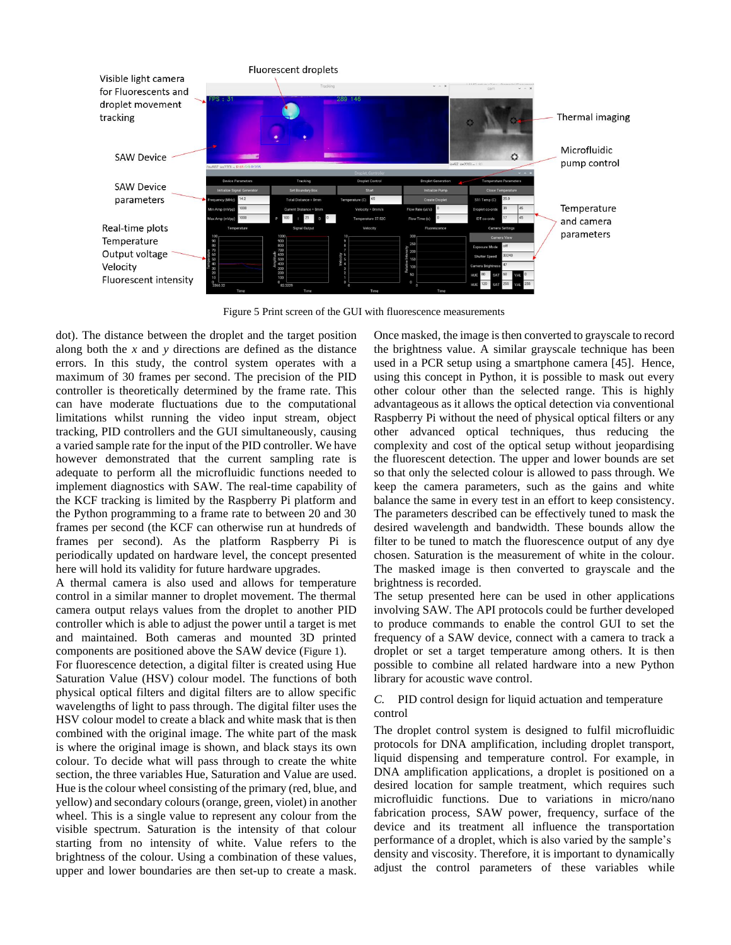

Figure 5 Print screen of the GUI with fluorescence measurements

dot). The distance between the droplet and the target position along both the *x* and *y* directions are defined as the distance errors. In this study, the control system operates with a maximum of 30 frames per second. The precision of the PID controller is theoretically determined by the frame rate. This can have moderate fluctuations due to the computational limitations whilst running the video input stream, object tracking, PID controllers and the GUI simultaneously, causing a varied sample rate for the input of the PID controller. We have however demonstrated that the current sampling rate is adequate to perform all the microfluidic functions needed to implement diagnostics with SAW. The real-time capability of the KCF tracking is limited by the Raspberry Pi platform and the Python programming to a frame rate to between 20 and 30 frames per second (the KCF can otherwise run at hundreds of frames per second). As the platform Raspberry Pi is periodically updated on hardware level, the concept presented here will hold its validity for future hardware upgrades.

A thermal camera is also used and allows for temperature control in a similar manner to droplet movement. The thermal camera output relays values from the droplet to another PID controller which is able to adjust the power until a target is met and maintained. Both cameras and mounted 3D printed components are positioned above the SAW device ([Figure 1](#page-1-0)).

For fluorescence detection, a digital filter is created using Hue Saturation Value (HSV) colour model. The functions of both physical optical filters and digital filters are to allow specific wavelengths of light to pass through. The digital filter uses the HSV colour model to create a black and white mask that is then combined with the original image. The white part of the mask is where the original image is shown, and black stays its own colour. To decide what will pass through to create the white section, the three variables Hue, Saturation and Value are used. Hue is the colour wheel consisting of the primary (red, blue, and yellow) and secondary colours (orange, green, violet) in another wheel. This is a single value to represent any colour from the visible spectrum. Saturation is the intensity of that colour starting from no intensity of white. Value refers to the brightness of the colour. Using a combination of these values, upper and lower boundaries are then set-up to create a mask.

Once masked, the image is then converted to grayscale to record the brightness value. A similar grayscale technique has been used in a PCR setup using a smartphone camera [45]. Hence, using this concept in Python, it is possible to mask out every other colour other than the selected range. This is highly advantageous as it allows the optical detection via conventional Raspberry Pi without the need of physical optical filters or any other advanced optical techniques, thus reducing the complexity and cost of the optical setup without jeopardising the fluorescent detection. The upper and lower bounds are set so that only the selected colour is allowed to pass through. We keep the camera parameters, such as the gains and white balance the same in every test in an effort to keep consistency. The parameters described can be effectively tuned to mask the desired wavelength and bandwidth. These bounds allow the filter to be tuned to match the fluorescence output of any dye chosen. Saturation is the measurement of white in the colour. The masked image is then converted to grayscale and the brightness is recorded.

The setup presented here can be used in other applications involving SAW. The API protocols could be further developed to produce commands to enable the control GUI to set the frequency of a SAW device, connect with a camera to track a droplet or set a target temperature among others. It is then possible to combine all related hardware into a new Python library for acoustic wave control.

# *C.* PID control design for liquid actuation and temperature control

The droplet control system is designed to fulfil microfluidic protocols for DNA amplification, including droplet transport, liquid dispensing and temperature control. For example, in DNA amplification applications, a droplet is positioned on a desired location for sample treatment, which requires such microfluidic functions. Due to variations in micro/nano fabrication process, SAW power, frequency, surface of the device and its treatment all influence the transportation performance of a droplet, which is also varied by the sample's density and viscosity. Therefore, it is important to dynamically adjust the control parameters of these variables while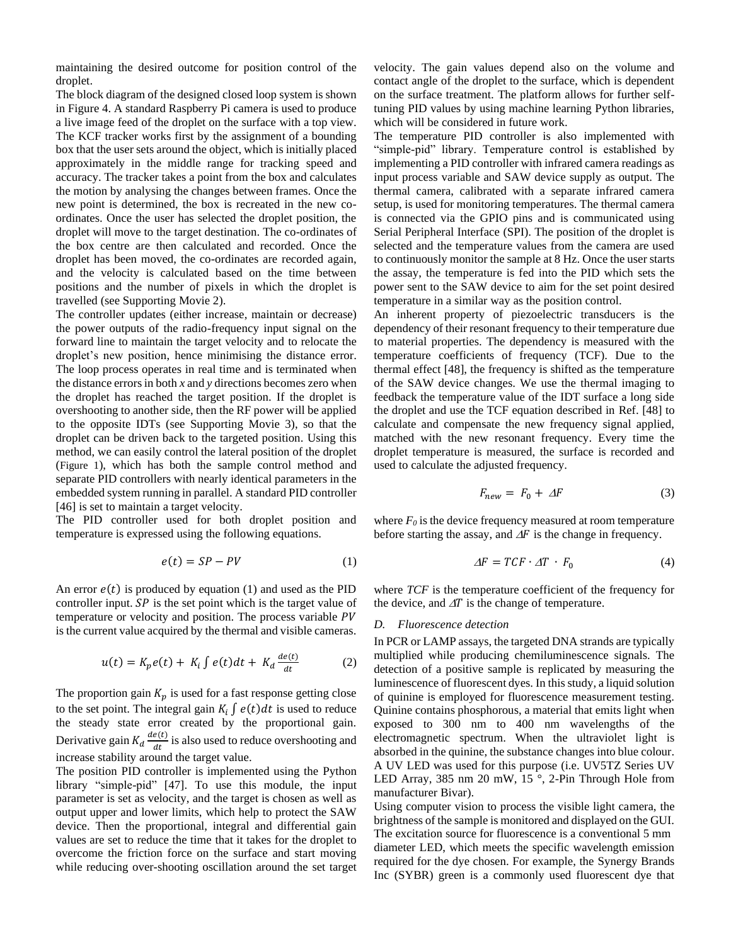maintaining the desired outcome for position control of the droplet.

The block diagram of the designed closed loop system is shown in [Figure 4.](#page-3-0) A standard Raspberry Pi camera is used to produce a live image feed of the droplet on the surface with a top view. The KCF tracker works first by the assignment of a bounding box that the user sets around the object, which is initially placed approximately in the middle range for tracking speed and accuracy. The tracker takes a point from the box and calculates the motion by analysing the changes between frames. Once the new point is determined, the box is recreated in the new coordinates. Once the user has selected the droplet position, the droplet will move to the target destination. The co-ordinates of the box centre are then calculated and recorded. Once the droplet has been moved, the co-ordinates are recorded again, and the velocity is calculated based on the time between positions and the number of pixels in which the droplet is travelled (see Supporting Movie 2).

The controller updates (either increase, maintain or decrease) the power outputs of the radio-frequency input signal on the forward line to maintain the target velocity and to relocate the droplet's new position, hence minimising the distance error. The loop process operates in real time and is terminated when the distance errors in both *x* and *y* directions becomes zero when the droplet has reached the target position. If the droplet is overshooting to another side, then the RF power will be applied to the opposite IDTs (see Supporting Movie 3), so that the droplet can be driven back to the targeted position. Using this method, we can easily control the lateral position of the droplet ([Figure 1](#page-1-0)), which has both the sample control method and separate PID controllers with nearly identical parameters in the embedded system running in parallel. A standard PID controller [46] is set to maintain a target velocity.

The PID controller used for both droplet position and temperature is expressed using the following equations.

$$
e(t) = SP - PV \tag{1}
$$

An error  $e(t)$  is produced by equation (1) and used as the PID controller input.  $SP$  is the set point which is the target value of temperature or velocity and position. The process variable PV is the current value acquired by the thermal and visible cameras.

$$
u(t) = K_p e(t) + K_i \int e(t) dt + K_d \frac{de(t)}{dt}
$$
 (2)

The proportion gain  $K_p$  is used for a fast response getting close to the set point. The integral gain  $K_i \int e(t) dt$  is used to reduce the steady state error created by the proportional gain. Derivative gain  $K_d \frac{de(t)}{dt}$  $\frac{e(t)}{dt}$  is also used to reduce overshooting and increase stability around the target value.

The position PID controller is implemented using the Python library "simple-pid" [47]. To use this module, the input parameter is set as velocity, and the target is chosen as well as output upper and lower limits, which help to protect the SAW device. Then the proportional, integral and differential gain values are set to reduce the time that it takes for the droplet to overcome the friction force on the surface and start moving while reducing over-shooting oscillation around the set target

velocity. The gain values depend also on the volume and contact angle of the droplet to the surface, which is dependent on the surface treatment. The platform allows for further selftuning PID values by using machine learning Python libraries, which will be considered in future work.

The temperature PID controller is also implemented with "simple-pid" library. Temperature control is established by implementing a PID controller with infrared camera readings as input process variable and SAW device supply as output. The thermal camera, calibrated with a separate infrared camera setup, is used for monitoring temperatures. The thermal camera is connected via the GPIO pins and is communicated using Serial Peripheral Interface (SPI). The position of the droplet is selected and the temperature values from the camera are used to continuously monitor the sample at 8 Hz. Once the user starts the assay, the temperature is fed into the PID which sets the power sent to the SAW device to aim for the set point desired temperature in a similar way as the position control.

An inherent property of piezoelectric transducers is the dependency of their resonant frequency to their temperature due to material properties. The dependency is measured with the temperature coefficients of frequency (TCF). Due to the thermal effect [48], the frequency is shifted as the temperature of the SAW device changes. We use the thermal imaging to feedback the temperature value of the IDT surface a long side the droplet and use the TCF equation described in Ref. [48] to calculate and compensate the new frequency signal applied, matched with the new resonant frequency. Every time the droplet temperature is measured, the surface is recorded and used to calculate the adjusted frequency.

$$
F_{new} = F_0 + \Delta F \tag{3}
$$

where  $F_0$  is the device frequency measured at room temperature before starting the assay, and  $\Delta F$  is the change in frequency.

$$
\Delta F = TCF \cdot \Delta T \cdot F_0 \tag{4}
$$

where *TCF* is the temperature coefficient of the frequency for the device, and  $\Delta T$  is the change of temperature.

### *D. Fluorescence detection*

In PCR or LAMP assays, the targeted DNA strands are typically multiplied while producing chemiluminescence signals. The detection of a positive sample is replicated by measuring the luminescence of fluorescent dyes. In this study, a liquid solution of quinine is employed for fluorescence measurement testing. Quinine contains phosphorous, a material that emits light when exposed to 300 nm to 400 nm wavelengths of the electromagnetic spectrum. When the ultraviolet light is absorbed in the quinine, the substance changes into blue colour. A UV LED was used for this purpose (i.e. UV5TZ Series UV LED Array, 385 nm 20 mW, 15 °, 2-Pin Through Hole from manufacturer Bivar).

Using computer vision to process the visible light camera, the brightness of the sample is monitored and displayed on the GUI. The excitation source for fluorescence is a conventional 5 mm diameter LED, which meets the specific wavelength emission required for the dye chosen. For example, the Synergy Brands Inc (SYBR) green is a commonly used fluorescent dye that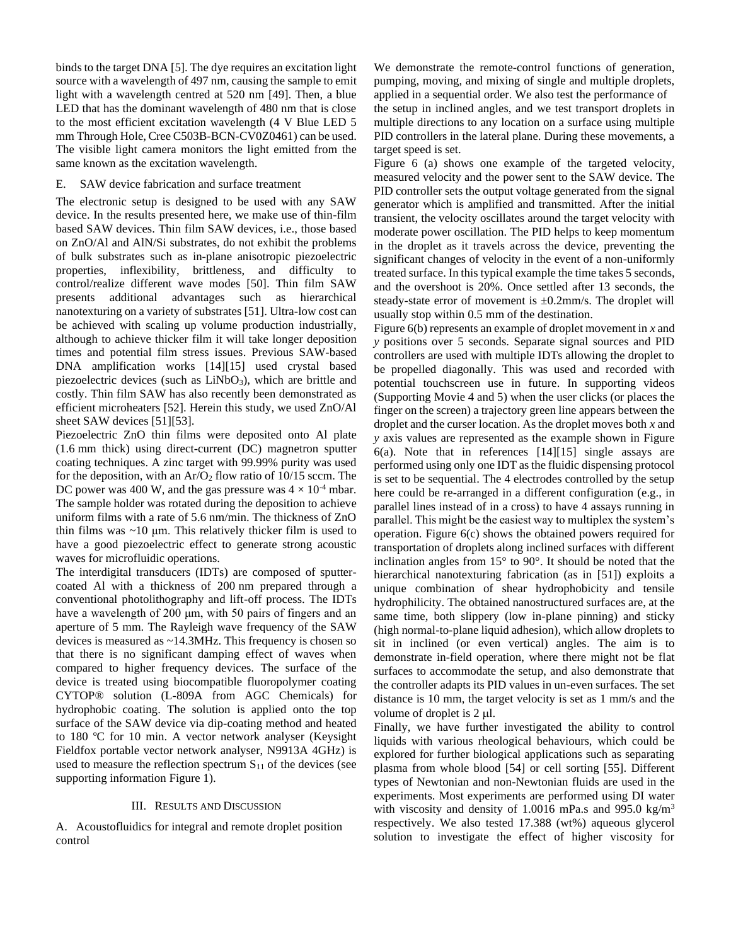binds to the target DNA [5]. The dye requires an excitation light source with a wavelength of 497 nm, causing the sample to emit light with a wavelength centred at 520 nm [49]. Then, a blue LED that has the dominant wavelength of 480 nm that is close to the most efficient excitation wavelength (4 V Blue LED 5 mm Through Hole, Cree C503B-BCN-CV0Z0461) can be used. The visible light camera monitors the light emitted from the same known as the excitation wavelength.

# E. SAW device fabrication and surface treatment

The electronic setup is designed to be used with any SAW device. In the results presented here, we make use of thin-film based SAW devices. Thin film SAW devices, i.e., those based on ZnO/Al and AlN/Si substrates, do not exhibit the problems of bulk substrates such as in-plane anisotropic piezoelectric properties, inflexibility, brittleness, and difficulty to control/realize different wave modes [50]. Thin film SAW presents additional advantages such as hierarchical nanotexturing on a variety of substrates [51]. Ultra-low cost can be achieved with scaling up volume production industrially, although to achieve thicker film it will take longer deposition times and potential film stress issues. Previous SAW-based DNA amplification works [14][15] used crystal based piezoelectric devices (such as  $LiNbO<sub>3</sub>$ ), which are brittle and costly. Thin film SAW has also recently been demonstrated as efficient microheaters [52]. Herein this study, we used ZnO/Al sheet SAW devices [51][53].

Piezoelectric ZnO thin films were deposited onto Al plate (1.6 mm thick) using direct-current (DC) magnetron sputter coating techniques. A zinc target with 99.99% purity was used for the deposition, with an  $Ar/O<sub>2</sub>$  flow ratio of 10/15 sccm. The DC power was 400 W, and the gas pressure was  $4 \times 10^{-4}$  mbar. The sample holder was rotated during the deposition to achieve uniform films with a rate of 5.6 nm/min. The thickness of ZnO thin films was  $~10 \mu$ m. This relatively thicker film is used to have a good piezoelectric effect to generate strong acoustic waves for microfluidic operations.

The interdigital transducers (IDTs) are composed of sputtercoated Al with a thickness of 200 nm prepared through a conventional photolithography and lift-off process. The IDTs have a wavelength of 200 μm, with 50 pairs of fingers and an aperture of 5 mm. The Rayleigh wave frequency of the SAW devices is measured as ~14.3MHz. This frequency is chosen so that there is no significant damping effect of waves when compared to higher frequency devices. The surface of the device is treated using biocompatible fluoropolymer coating CYTOP® solution (L-809A from AGC Chemicals) for hydrophobic coating. The solution is applied onto the top surface of the SAW device via dip-coating method and heated to 180 ºC for 10 min. A vector network analyser (Keysight Fieldfox portable vector network analyser, N9913A 4GHz) is used to measure the reflection spectrum  $S_{11}$  of the devices (see supporting information Figure 1).

# III. RESULTS AND DISCUSSION

A. Acoustofluidics for integral and remote droplet position control

We demonstrate the remote-control functions of generation, pumping, moving, and mixing of single and multiple droplets, applied in a sequential order. We also test the performance of the setup in inclined angles, and we test transport droplets in multiple directions to any location on a surface using multiple PID controllers in the lateral plane. During these movements, a target speed is set.

[Figure 6](#page-7-0) (a) shows one example of the targeted velocity, measured velocity and the power sent to the SAW device. The PID controller sets the output voltage generated from the signal generator which is amplified and transmitted. After the initial transient, the velocity oscillates around the target velocity with moderate power oscillation. The PID helps to keep momentum in the droplet as it travels across the device, preventing the significant changes of velocity in the event of a non-uniformly treated surface. In this typical example the time takes 5 seconds, and the overshoot is 20%. Once settled after 13 seconds, the steady-state error of movement is ±0.2mm/s. The droplet will usually stop within 0.5 mm of the destination.

[Figure 6\(](#page-7-0)b) represents an example of droplet movement in *x* and *y* positions over 5 seconds. Separate signal sources and PID controllers are used with multiple IDTs allowing the droplet to be propelled diagonally. This was used and recorded with potential touchscreen use in future. In supporting videos (Supporting Movie 4 and 5) when the user clicks (or places the finger on the screen) a trajectory green line appears between the droplet and the curser location. As the droplet moves both *x* and *y* axis values are represented as the example shown in [Figure](#page-7-0)  [6\(](#page-7-0)a). Note that in references [14][15] single assays are performed using only one IDT as the fluidic dispensing protocol is set to be sequential. The 4 electrodes controlled by the setup here could be re-arranged in a different configuration (e.g., in parallel lines instead of in a cross) to have 4 assays running in parallel. This might be the easiest way to multiplex the system's operation. [Figure 6\(](#page-7-0)c) shows the obtained powers required for transportation of droplets along inclined surfaces with different inclination angles from 15° to 90°. It should be noted that the hierarchical nanotexturing fabrication (as in [51]) exploits a unique combination of shear hydrophobicity and tensile hydrophilicity. The obtained nanostructured surfaces are, at the same time, both slippery (low in-plane pinning) and sticky (high normal-to-plane liquid adhesion), which allow droplets to sit in inclined (or even vertical) angles. The aim is to demonstrate in-field operation, where there might not be flat surfaces to accommodate the setup, and also demonstrate that the controller adapts its PID values in un-even surfaces. The set distance is 10 mm, the target velocity is set as 1 mm/s and the volume of droplet is  $2 \mu$ .

Finally, we have further investigated the ability to control liquids with various rheological behaviours, which could be explored for further biological applications such as separating plasma from whole blood [54] or cell sorting [55]. Different types of Newtonian and non-Newtonian fluids are used in the experiments. Most experiments are performed using DI water with viscosity and density of 1.0016 mPa.s and 995.0 kg/m<sup>3</sup> respectively. We also tested 17.388 (wt%) aqueous glycerol solution to investigate the effect of higher viscosity for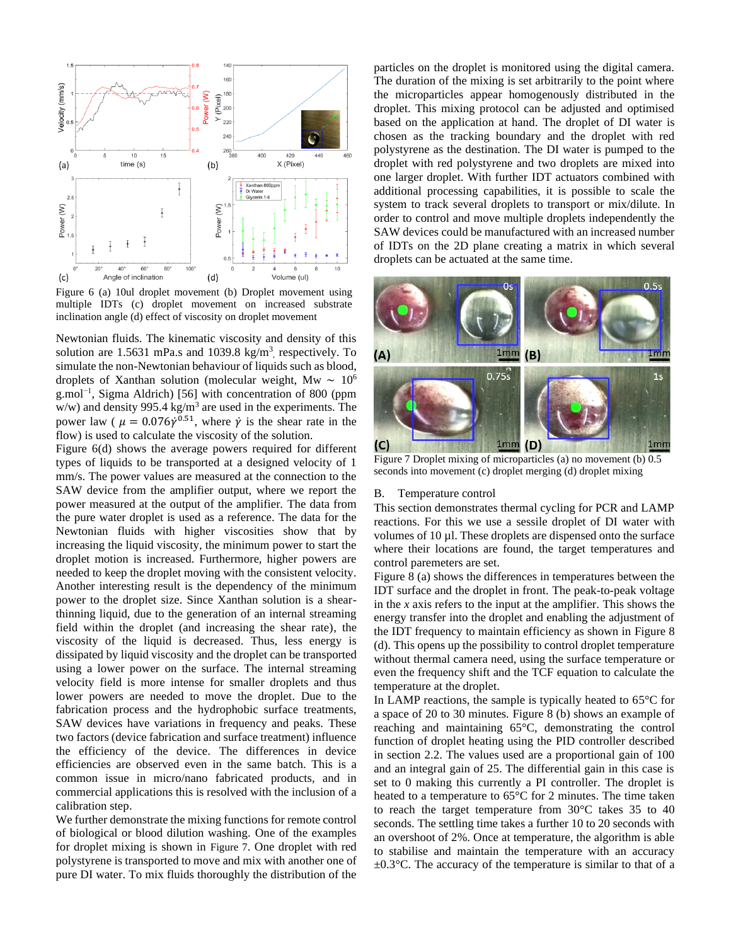

<span id="page-7-0"></span>Figure 6 (a) 10ul droplet movement (b) Droplet movement using multiple IDTs (c) droplet movement on increased substrate inclination angle (d) effect of viscosity on droplet movement

Newtonian fluids. The kinematic viscosity and density of this solution are  $1.5631$  mPa.s and  $1039.8$  kg/m<sup>3</sup>, respectively. To simulate the non-Newtonian behaviour of liquids such as blood, droplets of Xanthan solution (molecular weight, Mw ∼ 10<sup>6</sup> g.mol<sup>-1</sup>, Sigma Aldrich) [56] with concentration of 800 (ppm  $w/w$ ) and density 995.4 kg/m<sup>3</sup> are used in the experiments. The power law ( $\mu = 0.076\dot{\gamma}^{0.51}$ , where  $\dot{\gamma}$  is the shear rate in the flow) is used to calculate the viscosity of the solution.

[Figure 6\(](#page-7-0)d) shows the average powers required for different types of liquids to be transported at a designed velocity of 1 mm/s. The power values are measured at the connection to the SAW device from the amplifier output, where we report the power measured at the output of the amplifier. The data from the pure water droplet is used as a reference. The data for the Newtonian fluids with higher viscosities show that by increasing the liquid viscosity, the minimum power to start the droplet motion is increased. Furthermore, higher powers are needed to keep the droplet moving with the consistent velocity. Another interesting result is the dependency of the minimum power to the droplet size. Since Xanthan solution is a shearthinning liquid, due to the generation of an internal streaming field within the droplet (and increasing the shear rate), the viscosity of the liquid is decreased. Thus, less energy is dissipated by liquid viscosity and the droplet can be transported using a lower power on the surface. The internal streaming velocity field is more intense for smaller droplets and thus lower powers are needed to move the droplet. Due to the fabrication process and the hydrophobic surface treatments, SAW devices have variations in frequency and peaks. These two factors (device fabrication and surface treatment) influence the efficiency of the device. The differences in device efficiencies are observed even in the same batch. This is a common issue in micro/nano fabricated products, and in commercial applications this is resolved with the inclusion of a calibration step.

We further demonstrate the mixing functions for remote control of biological or blood dilution washing. One of the examples for droplet mixing is shown in [Figure 7](#page-7-1). One droplet with red polystyrene is transported to move and mix with another one of pure DI water. To mix fluids thoroughly the distribution of the

particles on the droplet is monitored using the digital camera. The duration of the mixing is set arbitrarily to the point where the microparticles appear homogenously distributed in the droplet. This mixing protocol can be adjusted and optimised based on the application at hand. The droplet of DI water is chosen as the tracking boundary and the droplet with red polystyrene as the destination. The DI water is pumped to the droplet with red polystyrene and two droplets are mixed into one larger droplet. With further IDT actuators combined with additional processing capabilities, it is possible to scale the system to track several droplets to transport or mix/dilute. In order to control and move multiple droplets independently the SAW devices could be manufactured with an increased number of IDTs on the 2D plane creating a matrix in which several droplets can be actuated at the same time.



<span id="page-7-1"></span>Figure 7 Droplet mixing of microparticles (a) no movement (b) 0.5 seconds into movement (c) droplet merging (d) droplet mixing

#### B. Temperature control

This section demonstrates thermal cycling for PCR and LAMP reactions. For this we use a sessile droplet of DI water with volumes of 10 µl. These droplets are dispensed onto the surface where their locations are found, the target temperatures and control paremeters are set.

[Figure 8](#page-8-0) (a) shows the differences in temperatures between the IDT surface and the droplet in front. The peak-to-peak voltage in the *x* axis refers to the input at the amplifier. This shows the energy transfer into the droplet and enabling the adjustment of the IDT frequency to maintain efficiency as shown in [Figure 8](#page-8-0) (d). This opens up the possibility to control droplet temperature without thermal camera need, using the surface temperature or even the frequency shift and the TCF equation to calculate the temperature at the droplet.

In LAMP reactions, the sample is typically heated to  $65^{\circ}$ C for a space of 20 to 30 minutes. [Figure 8](#page-8-0) (b) shows an example of reaching and maintaining 65°C, demonstrating the control function of droplet heating using the PID controller described in section 2.2. The values used are a proportional gain of 100 and an integral gain of 25. The differential gain in this case is set to 0 making this currently a PI controller. The droplet is heated to a temperature to 65°C for 2 minutes. The time taken to reach the target temperature from 30°C takes 35 to 40 seconds. The settling time takes a further 10 to 20 seconds with an overshoot of 2%. Once at temperature, the algorithm is able to stabilise and maintain the temperature with an accuracy  $\pm 0.3$ °C. The accuracy of the temperature is similar to that of a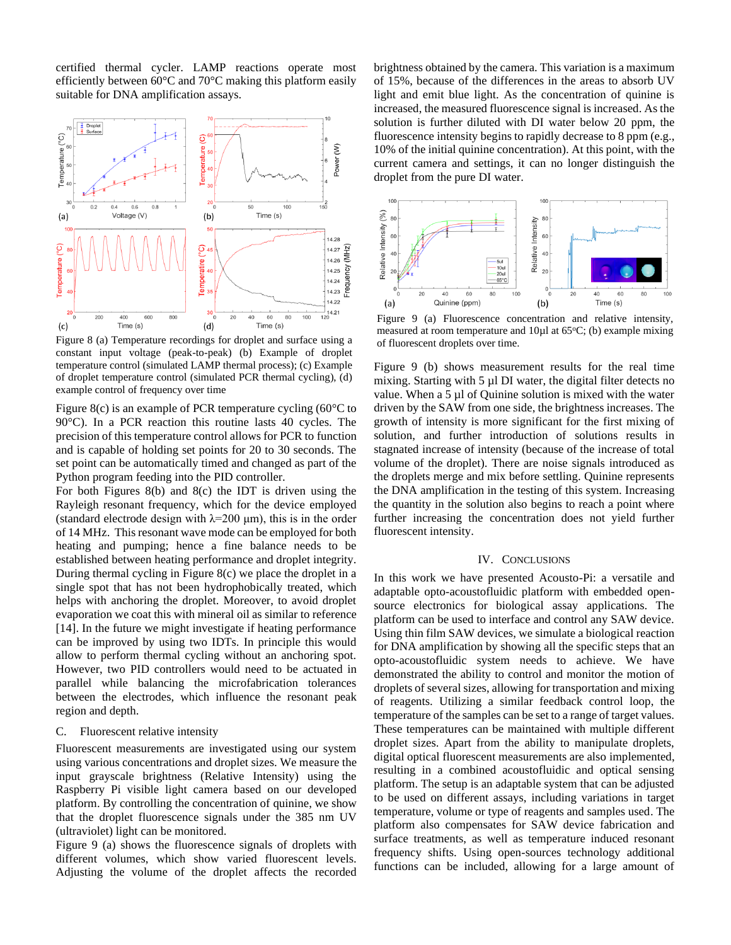certified thermal cycler. LAMP reactions operate most efficiently between 60°C and 70°C making this platform easily suitable for DNA amplification assays.



<span id="page-8-0"></span>Figure 8 (a) Temperature recordings for droplet and surface using a constant input voltage (peak-to-peak) (b) Example of droplet temperature control (simulated LAMP thermal process); (c) Example of droplet temperature control (simulated PCR thermal cycling), (d) example control of frequency over time

[Figure 8\(](#page-8-0)c) is an example of PCR temperature cycling (60°C to 90°C). In a PCR reaction this routine lasts 40 cycles. The precision of this temperature control allows for PCR to function and is capable of holding set points for 20 to 30 seconds. The set point can be automatically timed and changed as part of the Python program feeding into the PID controller.

For both Figures 8(b) and 8(c) the IDT is driven using the Rayleigh resonant frequency, which for the device employed (standard electrode design with  $\lambda$ =200 µm), this is in the order of 14 MHz. This resonant wave mode can be employed for both heating and pumping; hence a fine balance needs to be established between heating performance and droplet integrity. During thermal cycling in Figure 8(c) we place the droplet in a single spot that has not been hydrophobically treated, which helps with anchoring the droplet. Moreover, to avoid droplet evaporation we coat this with mineral oil as similar to reference [14]. In the future we might investigate if heating performance can be improved by using two IDTs. In principle this would allow to perform thermal cycling without an anchoring spot. However, two PID controllers would need to be actuated in parallel while balancing the microfabrication tolerances between the electrodes, which influence the resonant peak region and depth.

#### C. Fluorescent relative intensity

Fluorescent measurements are investigated using our system using various concentrations and droplet sizes. We measure the input grayscale brightness (Relative Intensity) using the Raspberry Pi visible light camera based on our developed platform. By controlling the concentration of quinine, we show that the droplet fluorescence signals under the 385 nm UV (ultraviolet) light can be monitored.

Figure 9 (a) shows the fluorescence signals of droplets with different volumes, which show varied fluorescent levels. Adjusting the volume of the droplet affects the recorded brightness obtained by the camera. This variation is a maximum of 15%, because of the differences in the areas to absorb UV light and emit blue light. As the concentration of quinine is increased, the measured fluorescence signal is increased. As the solution is further diluted with DI water below 20 ppm, the fluorescence intensity begins to rapidly decrease to 8 ppm (e.g., 10% of the initial quinine concentration). At this point, with the current camera and settings, it can no longer distinguish the droplet from the pure DI water.



Figure 9 (a) Fluorescence concentration and relative intensity, measured at room temperature and  $10\mu$ l at 65 $\degree$ C; (b) example mixing of fluorescent droplets over time.

Figure 9 (b) shows measurement results for the real time mixing. Starting with 5 µl DI water, the digital filter detects no value. When a 5 µl of Quinine solution is mixed with the water driven by the SAW from one side, the brightness increases. The growth of intensity is more significant for the first mixing of solution, and further introduction of solutions results in stagnated increase of intensity (because of the increase of total volume of the droplet). There are noise signals introduced as the droplets merge and mix before settling. Quinine represents the DNA amplification in the testing of this system. Increasing the quantity in the solution also begins to reach a point where further increasing the concentration does not yield further fluorescent intensity.

#### IV. CONCLUSIONS

In this work we have presented Acousto-Pi: a versatile and adaptable opto-acoustofluidic platform with embedded opensource electronics for biological assay applications. The platform can be used to interface and control any SAW device. Using thin film SAW devices, we simulate a biological reaction for DNA amplification by showing all the specific steps that an opto-acoustofluidic system needs to achieve. We have demonstrated the ability to control and monitor the motion of droplets of several sizes, allowing for transportation and mixing of reagents. Utilizing a similar feedback control loop, the temperature of the samples can be set to a range of target values. These temperatures can be maintained with multiple different droplet sizes. Apart from the ability to manipulate droplets, digital optical fluorescent measurements are also implemented, resulting in a combined acoustofluidic and optical sensing platform. The setup is an adaptable system that can be adjusted to be used on different assays, including variations in target temperature, volume or type of reagents and samples used. The platform also compensates for SAW device fabrication and surface treatments, as well as temperature induced resonant frequency shifts. Using open-sources technology additional functions can be included, allowing for a large amount of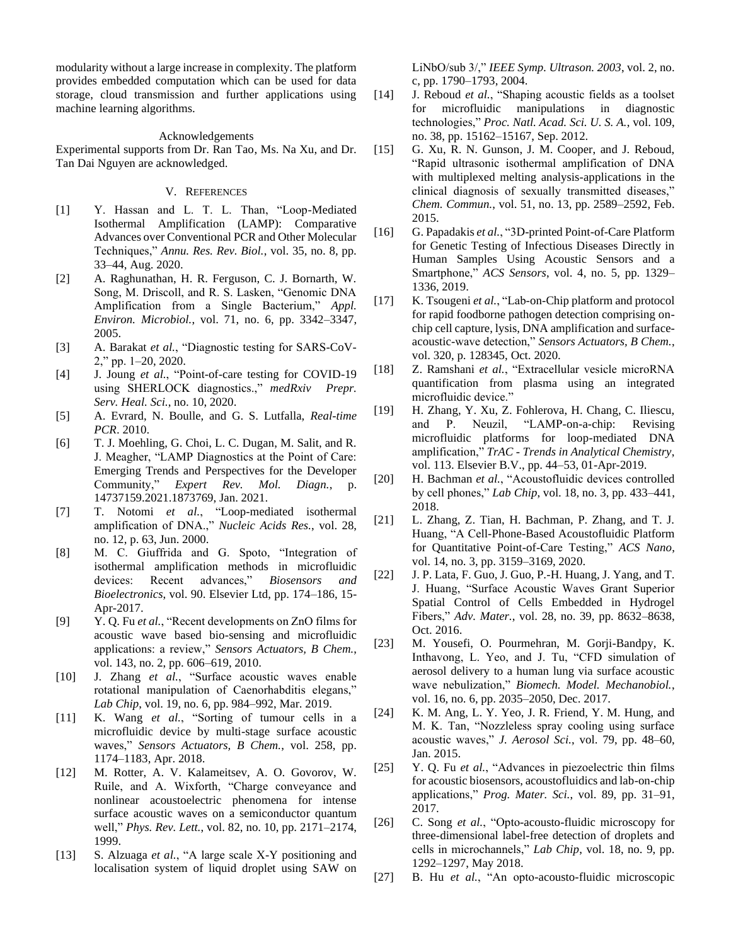modularity without a large increase in complexity. The platform provides embedded computation which can be used for data storage, cloud transmission and further applications using machine learning algorithms.

## Acknowledgements

Experimental supports from Dr. Ran Tao, Ms. Na Xu, and Dr. Tan Dai Nguyen are acknowledged.

# V. REFERENCES

- [1] Y. Hassan and L. T. L. Than, "Loop-Mediated Isothermal Amplification (LAMP): Comparative Advances over Conventional PCR and Other Molecular Techniques," *Annu. Res. Rev. Biol.*, vol. 35, no. 8, pp. 33–44, Aug. 2020.
- [2] A. Raghunathan, H. R. Ferguson, C. J. Bornarth, W. Song, M. Driscoll, and R. S. Lasken, "Genomic DNA Amplification from a Single Bacterium," *Appl. Environ. Microbiol.*, vol. 71, no. 6, pp. 3342–3347, 2005.
- [3] A. Barakat *et al.*, "Diagnostic testing for SARS-CoV-2," pp. 1–20, 2020.
- [4] J. Joung *et al.*, "Point-of-care testing for COVID-19 using SHERLOCK diagnostics.," *medRxiv Prepr. Serv. Heal. Sci.*, no. 10, 2020.
- [5] A. Evrard, N. Boulle, and G. S. Lutfalla, *Real-time PCR*. 2010.
- [6] T. J. Moehling, G. Choi, L. C. Dugan, M. Salit, and R. J. Meagher, "LAMP Diagnostics at the Point of Care: Emerging Trends and Perspectives for the Developer Community," *Expert Rev. Mol. Diagn.*, p. 14737159.2021.1873769, Jan. 2021.
- [7] T. Notomi *et al.*, "Loop-mediated isothermal amplification of DNA.," *Nucleic Acids Res.*, vol. 28, no. 12, p. 63, Jun. 2000.
- [8] M. C. Giuffrida and G. Spoto, "Integration of isothermal amplification methods in microfluidic devices: Recent advances," *Biosensors and Bioelectronics*, vol. 90. Elsevier Ltd, pp. 174–186, 15- Apr-2017.
- [9] Y. Q. Fu *et al.*, "Recent developments on ZnO films for acoustic wave based bio-sensing and microfluidic applications: a review," *Sensors Actuators, B Chem.*, vol. 143, no. 2, pp. 606–619, 2010.
- [10] J. Zhang *et al.*, "Surface acoustic waves enable rotational manipulation of Caenorhabditis elegans," *Lab Chip*, vol. 19, no. 6, pp. 984–992, Mar. 2019.
- [11] K. Wang *et al.*, "Sorting of tumour cells in a microfluidic device by multi-stage surface acoustic waves," *Sensors Actuators, B Chem.*, vol. 258, pp. 1174–1183, Apr. 2018.
- [12] M. Rotter, A. V. Kalameitsev, A. O. Govorov, W. Ruile, and A. Wixforth, "Charge conveyance and nonlinear acoustoelectric phenomena for intense surface acoustic waves on a semiconductor quantum well," *Phys. Rev. Lett.*, vol. 82, no. 10, pp. 2171–2174, 1999.
- [13] S. Alzuaga *et al.*, "A large scale X-Y positioning and localisation system of liquid droplet using SAW on

LiNbO/sub 3/," *IEEE Symp. Ultrason. 2003*, vol. 2, no. c, pp. 1790–1793, 2004.

- [14] J. Reboud *et al.*, "Shaping acoustic fields as a toolset for microfluidic manipulations in diagnostic technologies," *Proc. Natl. Acad. Sci. U. S. A.*, vol. 109, no. 38, pp. 15162–15167, Sep. 2012.
- [15] G. Xu, R. N. Gunson, J. M. Cooper, and J. Reboud, "Rapid ultrasonic isothermal amplification of DNA with multiplexed melting analysis-applications in the clinical diagnosis of sexually transmitted diseases," *Chem. Commun.*, vol. 51, no. 13, pp. 2589–2592, Feb. 2015.
- [16] G. Papadakis *et al.*, "3D-printed Point-of-Care Platform for Genetic Testing of Infectious Diseases Directly in Human Samples Using Acoustic Sensors and a Smartphone," *ACS Sensors*, vol. 4, no. 5, pp. 1329– 1336, 2019.
- [17] K. Tsougeni *et al.*, "Lab-on-Chip platform and protocol for rapid foodborne pathogen detection comprising onchip cell capture, lysis, DNA amplification and surfaceacoustic-wave detection," *Sensors Actuators, B Chem.*, vol. 320, p. 128345, Oct. 2020.
- [18] Z. Ramshani *et al.*, "Extracellular vesicle microRNA quantification from plasma using an integrated microfluidic device."
- [19] H. Zhang, Y. Xu, Z. Fohlerova, H. Chang, C. Iliescu, and P. Neuzil, "LAMP-on-a-chip: Revising microfluidic platforms for loop-mediated DNA amplification," *TrAC - Trends in Analytical Chemistry*, vol. 113. Elsevier B.V., pp. 44–53, 01-Apr-2019.
- [20] H. Bachman *et al.*, "Acoustofluidic devices controlled by cell phones," *Lab Chip*, vol. 18, no. 3, pp. 433–441, 2018.
- [21] L. Zhang, Z. Tian, H. Bachman, P. Zhang, and T. J. Huang, "A Cell-Phone-Based Acoustofluidic Platform for Quantitative Point-of-Care Testing," *ACS Nano*, vol. 14, no. 3, pp. 3159–3169, 2020.
- [22] J. P. Lata, F. Guo, J. Guo, P.-H. Huang, J. Yang, and T. J. Huang, "Surface Acoustic Waves Grant Superior Spatial Control of Cells Embedded in Hydrogel Fibers," *Adv. Mater.*, vol. 28, no. 39, pp. 8632–8638, Oct. 2016.
- [23] M. Yousefi, O. Pourmehran, M. Gorji-Bandpy, K. Inthavong, L. Yeo, and J. Tu, "CFD simulation of aerosol delivery to a human lung via surface acoustic wave nebulization," *Biomech. Model. Mechanobiol.*, vol. 16, no. 6, pp. 2035–2050, Dec. 2017.
- [24] K. M. Ang, L. Y. Yeo, J. R. Friend, Y. M. Hung, and M. K. Tan, "Nozzleless spray cooling using surface acoustic waves," *J. Aerosol Sci.*, vol. 79, pp. 48–60, Jan. 2015.
- [25] Y. Q. Fu *et al.*, "Advances in piezoelectric thin films for acoustic biosensors, acoustofluidics and lab-on-chip applications," *Prog. Mater. Sci.*, vol. 89, pp. 31–91, 2017.
- [26] C. Song *et al.*, "Opto-acousto-fluidic microscopy for three-dimensional label-free detection of droplets and cells in microchannels," *Lab Chip*, vol. 18, no. 9, pp. 1292–1297, May 2018.
- [27] B. Hu *et al.*, "An opto-acousto-fluidic microscopic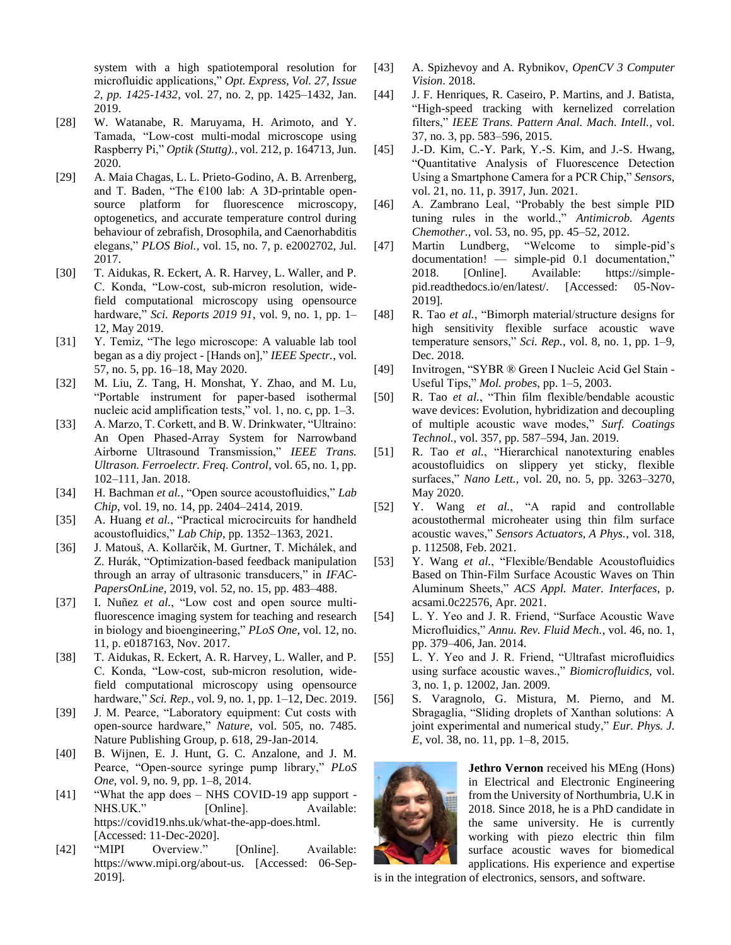system with a high spatiotemporal resolution for microfluidic applications," *Opt. Express, Vol. 27, Issue 2, pp. 1425-1432*, vol. 27, no. 2, pp. 1425–1432, Jan. 2019.

- [28] W. Watanabe, R. Maruyama, H. Arimoto, and Y. Tamada, "Low-cost multi-modal microscope using Raspberry Pi," *Optik (Stuttg).*, vol. 212, p. 164713, Jun. 2020.
- [29] A. Maia Chagas, L. L. Prieto-Godino, A. B. Arrenberg, and T. Baden, "The  $€100$  lab: A 3D-printable opensource platform for fluorescence microscopy, optogenetics, and accurate temperature control during behaviour of zebrafish, Drosophila, and Caenorhabditis elegans," *PLOS Biol.*, vol. 15, no. 7, p. e2002702, Jul. 2017.
- [30] T. Aidukas, R. Eckert, A. R. Harvey, L. Waller, and P. C. Konda, "Low-cost, sub-micron resolution, widefield computational microscopy using opensource hardware," *Sci. Reports 2019 91*, vol. 9, no. 1, pp. 1– 12, May 2019.
- [31] Y. Temiz, "The lego microscope: A valuable lab tool began as a diy project - [Hands on]," *IEEE Spectr.*, vol. 57, no. 5, pp. 16–18, May 2020.
- [32] M. Liu, Z. Tang, H. Monshat, Y. Zhao, and M. Lu, "Portable instrument for paper-based isothermal nucleic acid amplification tests," vol. 1, no. c, pp. 1–3.
- [33] A. Marzo, T. Corkett, and B. W. Drinkwater, "Ultraino: An Open Phased-Array System for Narrowband Airborne Ultrasound Transmission," *IEEE Trans. Ultrason. Ferroelectr. Freq. Control*, vol. 65, no. 1, pp. 102–111, Jan. 2018.
- [34] H. Bachman *et al.*, "Open source acoustofluidics," *Lab Chip*, vol. 19, no. 14, pp. 2404–2414, 2019.
- [35] A. Huang *et al.*, "Practical microcircuits for handheld acoustofluidics," *Lab Chip*, pp. 1352–1363, 2021.
- [36] J. Matouš, A. Kollarčik, M. Gurtner, T. Michálek, and Z. Hurák, "Optimization-based feedback manipulation through an array of ultrasonic transducers," in *IFAC-PapersOnLine*, 2019, vol. 52, no. 15, pp. 483–488.
- [37] I. Nuñez *et al.*, "Low cost and open source multifluorescence imaging system for teaching and research in biology and bioengineering," *PLoS One*, vol. 12, no. 11, p. e0187163, Nov. 2017.
- [38] T. Aidukas, R. Eckert, A. R. Harvey, L. Waller, and P. C. Konda, "Low-cost, sub-micron resolution, widefield computational microscopy using opensource hardware," *Sci. Rep.*, vol. 9, no. 1, pp. 1–12, Dec. 2019.
- [39] J. M. Pearce, "Laboratory equipment: Cut costs with open-source hardware," *Nature*, vol. 505, no. 7485. Nature Publishing Group, p. 618, 29-Jan-2014.
- [40] B. Wijnen, E. J. Hunt, G. C. Anzalone, and J. M. Pearce, "Open-source syringe pump library," *PLoS One*, vol. 9, no. 9, pp. 1–8, 2014.
- [41] "What the app does NHS COVID-19 app support NHS.UK." [Online]. Available: https://covid19.nhs.uk/what-the-app-does.html. [Accessed: 11-Dec-2020].
- [42] "MIPI Overview." [Online]. Available: https://www.mipi.org/about-us. [Accessed: 06-Sep-2019].
- [43] A. Spizhevoy and A. Rybnikov, *OpenCV 3 Computer Vision*. 2018.
- [44] J. F. Henriques, R. Caseiro, P. Martins, and J. Batista, "High-speed tracking with kernelized correlation filters," *IEEE Trans. Pattern Anal. Mach. Intell.*, vol. 37, no. 3, pp. 583–596, 2015.
- [45] J.-D. Kim, C.-Y. Park, Y.-S. Kim, and J.-S. Hwang, "Quantitative Analysis of Fluorescence Detection Using a Smartphone Camera for a PCR Chip," *Sensors*, vol. 21, no. 11, p. 3917, Jun. 2021.
- [46] A. Zambrano Leal, "Probably the best simple PID tuning rules in the world.," *Antimicrob. Agents Chemother.*, vol. 53, no. 95, pp. 45–52, 2012.
- [47] Martin Lundberg, "Welcome to simple-pid's documentation! — simple-pid 0.1 documentation," 2018. [Online]. Available: https://simplepid.readthedocs.io/en/latest/. [Accessed: 05-Nov-2019].
- [48] R. Tao *et al.*, "Bimorph material/structure designs for high sensitivity flexible surface acoustic wave temperature sensors," *Sci. Rep.*, vol. 8, no. 1, pp. 1–9, Dec. 2018.
- [49] Invitrogen, "SYBR ® Green I Nucleic Acid Gel Stain Useful Tips," *Mol. probes*, pp. 1–5, 2003.
- [50] R. Tao *et al.*, "Thin film flexible/bendable acoustic wave devices: Evolution, hybridization and decoupling of multiple acoustic wave modes," *Surf. Coatings Technol.*, vol. 357, pp. 587–594, Jan. 2019.
- [51] R. Tao *et al.*, "Hierarchical nanotexturing enables acoustofluidics on slippery yet sticky, flexible surfaces," *Nano Lett.*, vol. 20, no. 5, pp. 3263–3270, May 2020.
- [52] Y. Wang *et al.*, "A rapid and controllable acoustothermal microheater using thin film surface acoustic waves," *Sensors Actuators, A Phys.*, vol. 318, p. 112508, Feb. 2021.
- [53] Y. Wang *et al.*, "Flexible/Bendable Acoustofluidics Based on Thin-Film Surface Acoustic Waves on Thin Aluminum Sheets," *ACS Appl. Mater. Interfaces*, p. acsami.0c22576, Apr. 2021.
- [54] L. Y. Yeo and J. R. Friend, "Surface Acoustic Wave Microfluidics," *Annu. Rev. Fluid Mech.*, vol. 46, no. 1, pp. 379–406, Jan. 2014.
- [55] L. Y. Yeo and J. R. Friend, "Ultrafast microfluidics using surface acoustic waves.," *Biomicrofluidics*, vol. 3, no. 1, p. 12002, Jan. 2009.
- [56] S. Varagnolo, G. Mistura, M. Pierno, and M. Sbragaglia, "Sliding droplets of Xanthan solutions: A joint experimental and numerical study," *Eur. Phys. J. E*, vol. 38, no. 11, pp. 1–8, 2015.



**Jethro Vernon** received his MEng (Hons) in Electrical and Electronic Engineering from the University of Northumbria, U.K in 2018. Since 2018, he is a PhD candidate in the same university. He is currently working with piezo electric thin film surface acoustic waves for biomedical applications. His experience and expertise

is in the integration of electronics, sensors, and software.